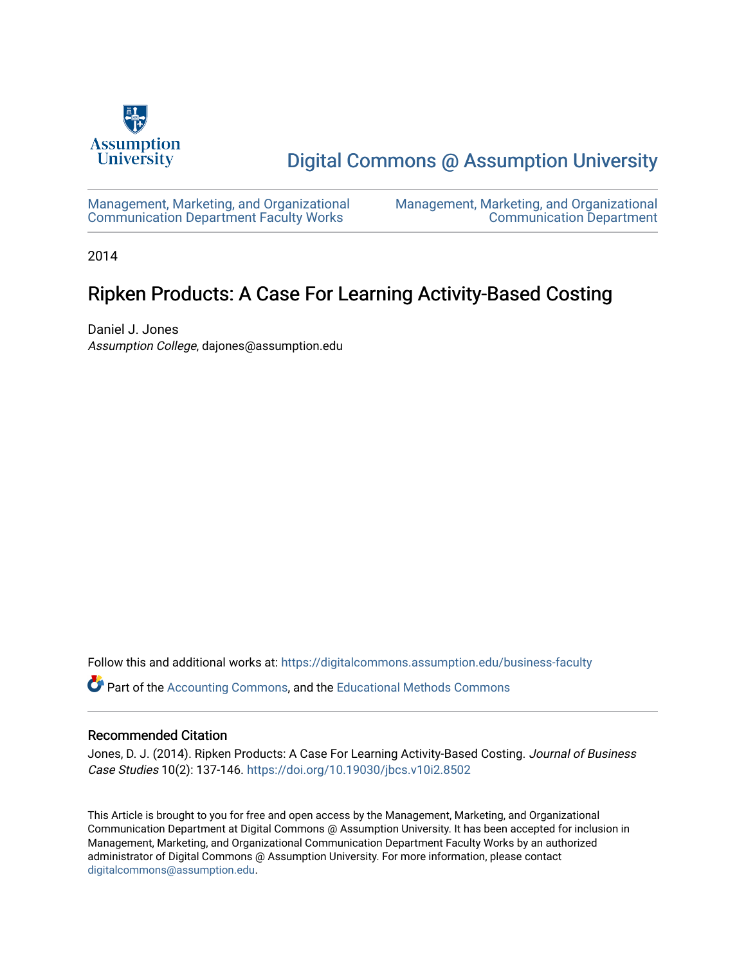

## [Digital Commons @ Assumption University](https://digitalcommons.assumption.edu/)

[Management, Marketing, and Organizational](https://digitalcommons.assumption.edu/business-faculty) [Communication Department Faculty Works](https://digitalcommons.assumption.edu/business-faculty) 

[Management, Marketing, and Organizational](https://digitalcommons.assumption.edu/business)  [Communication Department](https://digitalcommons.assumption.edu/business) 

2014

## Ripken Products: A Case For Learning Activity-Based Costing

Daniel J. Jones Assumption College, dajones@assumption.edu

Follow this and additional works at: [https://digitalcommons.assumption.edu/business-faculty](https://digitalcommons.assumption.edu/business-faculty?utm_source=digitalcommons.assumption.edu%2Fbusiness-faculty%2F2&utm_medium=PDF&utm_campaign=PDFCoverPages)

Part of the [Accounting Commons](http://network.bepress.com/hgg/discipline/625?utm_source=digitalcommons.assumption.edu%2Fbusiness-faculty%2F2&utm_medium=PDF&utm_campaign=PDFCoverPages), and the [Educational Methods Commons](http://network.bepress.com/hgg/discipline/1227?utm_source=digitalcommons.assumption.edu%2Fbusiness-faculty%2F2&utm_medium=PDF&utm_campaign=PDFCoverPages) 

#### Recommended Citation

Jones, D. J. (2014). Ripken Products: A Case For Learning Activity-Based Costing. Journal of Business Case Studies 10(2): 137-146. <https://doi.org/10.19030/jbcs.v10i2.8502>

This Article is brought to you for free and open access by the Management, Marketing, and Organizational Communication Department at Digital Commons @ Assumption University. It has been accepted for inclusion in Management, Marketing, and Organizational Communication Department Faculty Works by an authorized administrator of Digital Commons @ Assumption University. For more information, please contact [digitalcommons@assumption.edu](mailto:digitalcommons@assumption.edu).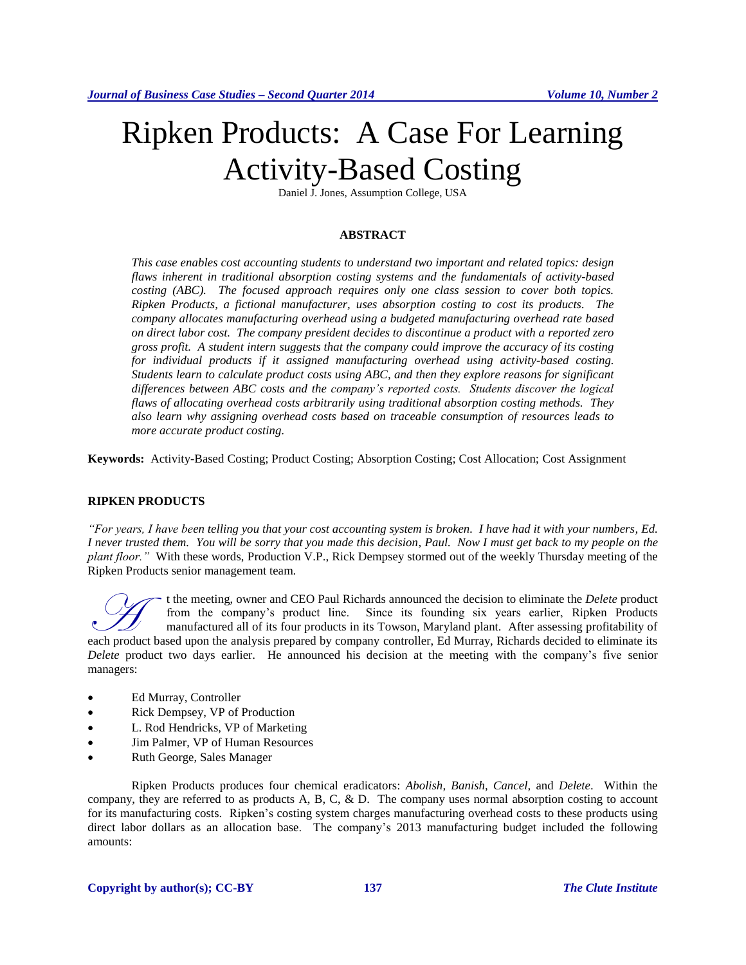# Ripken Products: A Case For Learning Activity-Based Costing

Daniel J. Jones, Assumption College, USA

#### **ABSTRACT**

*This case enables cost accounting students to understand two important and related topics: design flaws inherent in traditional absorption costing systems and the fundamentals of activity-based costing (ABC). The focused approach requires only one class session to cover both topics. Ripken Products, a fictional manufacturer, uses absorption costing to cost its products. The company allocates manufacturing overhead using a budgeted manufacturing overhead rate based on direct labor cost. The company president decides to discontinue a product with a reported zero gross profit. A student intern suggests that the company could improve the accuracy of its costing for individual products if it assigned manufacturing overhead using activity-based costing. Students learn to calculate product costs using ABC, and then they explore reasons for significant differences between ABC costs and the company's reported costs. Students discover the logical flaws of allocating overhead costs arbitrarily using traditional absorption costing methods. They also learn why assigning overhead costs based on traceable consumption of resources leads to more accurate product costing.*

**Keywords:** Activity-Based Costing; Product Costing; Absorption Costing; Cost Allocation; Cost Assignment

#### **RIPKEN PRODUCTS**

*"For years, I have been telling you that your cost accounting system is broken. I have had it with your numbers, Ed. I never trusted them. You will be sorry that you made this decision, Paul. Now I must get back to my people on the plant floor."* With these words, Production V.P., Rick Dempsey stormed out of the weekly Thursday meeting of the Ripken Products senior management team.

t the meeting, owner and CEO Paul Richards announced the decision to eliminate the *Delete* product from the company's product line. Since its founding six years earlier, Ripken Products manufactured all of its four products in its Towson, Maryland plant. After assessing profitability of <sup>t</sup> the meeting, owner and CEO Paul Richards announced the decision to eliminate the *Delete* product from the company's product line. Since its founding six years earlier, Ripken Products manufactured all of its four prod *Delete* product two days earlier. He announced his decision at the meeting with the company's five senior managers:

- Ed Murray, Controller
- Rick Dempsey, VP of Production
- L. Rod Hendricks, VP of Marketing
- Jim Palmer, VP of Human Resources
- Ruth George, Sales Manager

Ripken Products produces four chemical eradicators: *Abolish, Banish, Cancel,* and *Delete*. Within the company, they are referred to as products A, B, C, & D. The company uses normal absorption costing to account for its manufacturing costs. Ripken's costing system charges manufacturing overhead costs to these products using direct labor dollars as an allocation base. The company's 2013 manufacturing budget included the following amounts: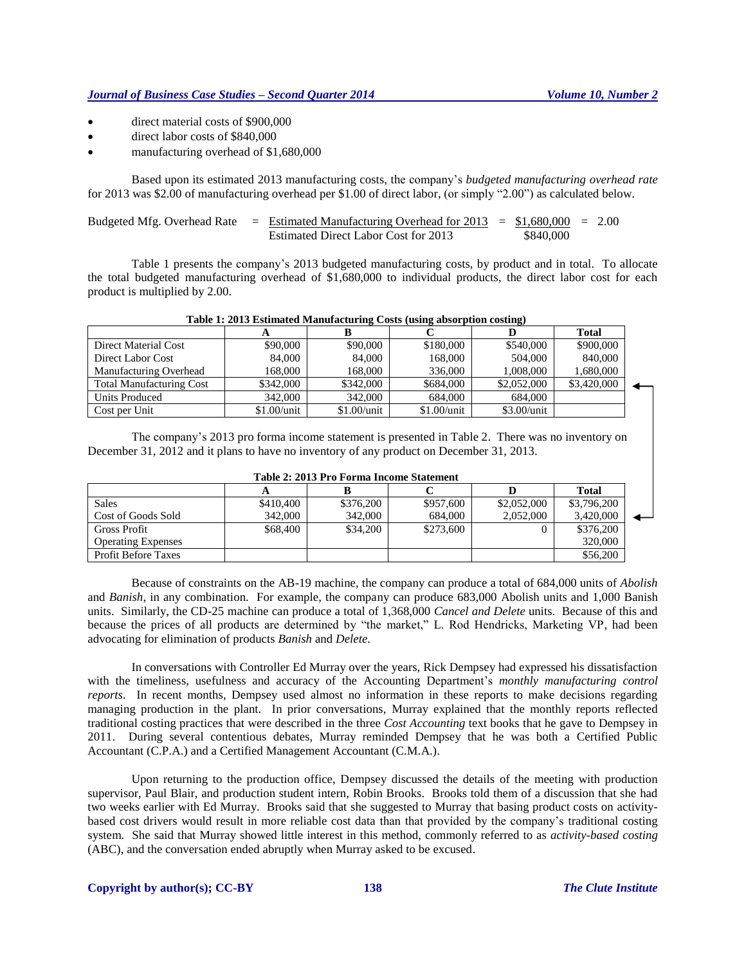- direct material costs of \$900,000
- direct labor costs of \$840,000
- manufacturing overhead of \$1,680,000

Based upon its estimated 2013 manufacturing costs, the company's *budgeted manufacturing overhead rate* for 2013 was \$2.00 of manufacturing overhead per \$1.00 of direct labor, (or simply "2.00") as calculated below.

Budgeted Mfg. Overhead Rate = Estimated Manufacturing Overhead for 2013 = \$1,680,000 = 2.00 Estimated Direct Labor Cost for 2013 \$840,000

Table 1 presents the company's 2013 budgeted manufacturing costs, by product and in total. To allocate the total budgeted manufacturing overhead of \$1,680,000 to individual products, the direct labor cost for each product is multiplied by 2.00.

|                                 |               |               |               |               | <b>Total</b> |  |
|---------------------------------|---------------|---------------|---------------|---------------|--------------|--|
| Direct Material Cost            | \$90,000      | \$90,000      | \$180,000     | \$540,000     | \$900,000    |  |
| Direct Labor Cost               | 84,000        | 84,000        | 168,000       | 504,000       | 840,000      |  |
| Manufacturing Overhead          | 168,000       | 168,000       | 336,000       | 1,008,000     | 1,680,000    |  |
| <b>Total Manufacturing Cost</b> | \$342,000     | \$342,000     | \$684,000     | \$2,052,000   | \$3,420,000  |  |
| Units Produced                  | 342,000       | 342,000       | 684,000       | 684,000       |              |  |
| Cost per Unit                   | $$1.00/$ unit | $$1.00/$ unit | $$1.00/$ unit | $$3.00$ /unit |              |  |

#### **Table 1: 2013 Estimated Manufacturing Costs (using absorption costing)**

The company's 2013 pro forma income statement is presented in Table 2. There was no inventory on December 31, 2012 and it plans to have no inventory of any product on December 31, 2013.

|  |  |  |  |  | Table 2: 2013 Pro Forma Income Statement |
|--|--|--|--|--|------------------------------------------|
|--|--|--|--|--|------------------------------------------|

|                            |           |           |           |             | <b>Total</b> |  |
|----------------------------|-----------|-----------|-----------|-------------|--------------|--|
| <b>Sales</b>               | \$410,400 | \$376,200 | \$957,600 | \$2,052,000 | \$3,796,200  |  |
| Cost of Goods Sold         | 342,000   | 342,000   | 684,000   | 2.052.000   | 3,420,000    |  |
| <b>Gross Profit</b>        | \$68,400  | \$34,200  | \$273,600 |             | \$376,200    |  |
| <b>Operating Expenses</b>  |           |           |           |             | 320,000      |  |
| <b>Profit Before Taxes</b> |           |           |           |             | \$56,200     |  |

Because of constraints on the AB-19 machine, the company can produce a total of 684,000 units of *Abolish* and *Banish*, in any combination. For example, the company can produce 683,000 Abolish units and 1,000 Banish units. Similarly, the CD-25 machine can produce a total of 1,368,000 *Cancel and Delete* units. Because of this and because the prices of all products are determined by "the market," L. Rod Hendricks, Marketing VP, had been advocating for elimination of products *Banish* and *Delete*.

In conversations with Controller Ed Murray over the years, Rick Dempsey had expressed his dissatisfaction with the timeliness, usefulness and accuracy of the Accounting Department's *monthly manufacturing control reports*. In recent months, Dempsey used almost no information in these reports to make decisions regarding managing production in the plant. In prior conversations, Murray explained that the monthly reports reflected traditional costing practices that were described in the three *Cost Accounting* text books that he gave to Dempsey in 2011. During several contentious debates, Murray reminded Dempsey that he was both a Certified Public Accountant (C.P.A.) and a Certified Management Accountant (C.M.A.).

Upon returning to the production office, Dempsey discussed the details of the meeting with production supervisor, Paul Blair, and production student intern, Robin Brooks. Brooks told them of a discussion that she had two weeks earlier with Ed Murray. Brooks said that she suggested to Murray that basing product costs on activitybased cost drivers would result in more reliable cost data than that provided by the company's traditional costing system. She said that Murray showed little interest in this method, commonly referred to as *activity-based costing*  (ABC), and the conversation ended abruptly when Murray asked to be excused.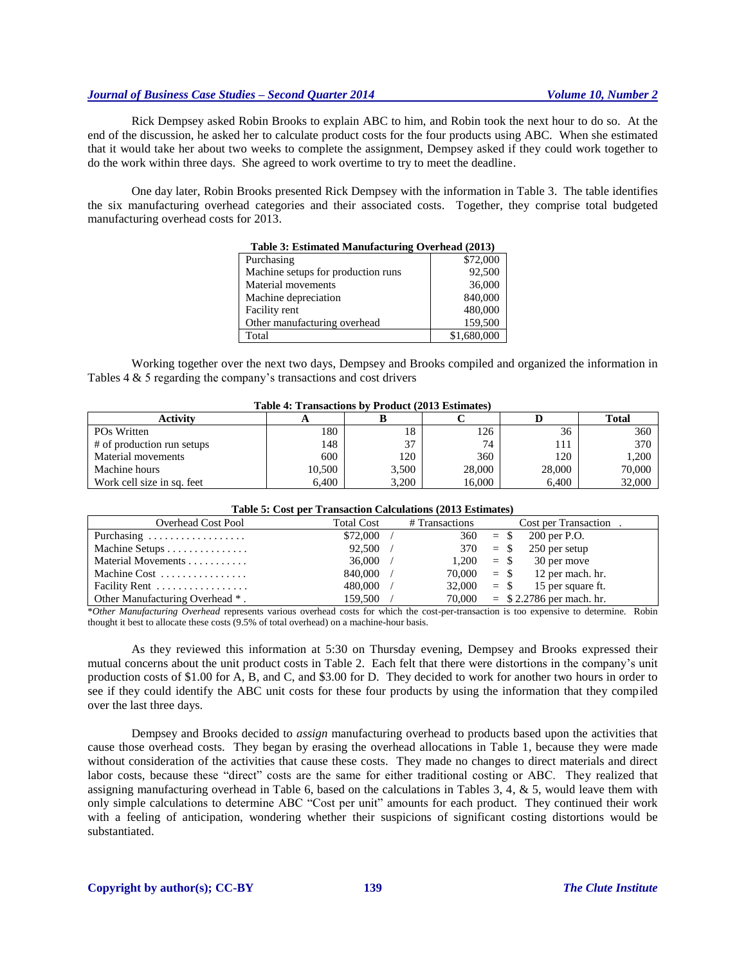Rick Dempsey asked Robin Brooks to explain ABC to him, and Robin took the next hour to do so. At the end of the discussion, he asked her to calculate product costs for the four products using ABC. When she estimated that it would take her about two weeks to complete the assignment, Dempsey asked if they could work together to do the work within three days. She agreed to work overtime to try to meet the deadline.

One day later, Robin Brooks presented Rick Dempsey with the information in Table 3. The table identifies the six manufacturing overhead categories and their associated costs. Together, they comprise total budgeted manufacturing overhead costs for 2013.

| Table 3: Estimated Manufacturing Overhead (2013) |             |  |  |  |  |  |
|--------------------------------------------------|-------------|--|--|--|--|--|
| Purchasing                                       | \$72,000    |  |  |  |  |  |
| Machine setups for production runs               | 92,500      |  |  |  |  |  |
| Material movements                               | 36,000      |  |  |  |  |  |
| Machine depreciation                             | 840,000     |  |  |  |  |  |
| Facility rent                                    | 480,000     |  |  |  |  |  |
| Other manufacturing overhead                     | 159,500     |  |  |  |  |  |
| Total                                            | \$1,680,000 |  |  |  |  |  |
|                                                  |             |  |  |  |  |  |

Working together over the next two days, Dempsey and Brooks compiled and organized the information in Tables 4 & 5 regarding the company's transactions and cost drivers

| Table 4: Transactions by Product (2013 Estimates) |        |       |        |        |              |  |  |  |
|---------------------------------------------------|--------|-------|--------|--------|--------------|--|--|--|
| <b>Activity</b>                                   |        |       |        |        | <b>Total</b> |  |  |  |
| PO <sub>s</sub> Written                           | 180    | 18    | 126    | 36     | 360          |  |  |  |
| # of production run setups                        | 148    | 37    | 74     | 111    | 370          |  |  |  |
| Material movements                                | 600    | 120   | 360    | 120    | 1,200        |  |  |  |
| Machine hours                                     | 10,500 | 3,500 | 28,000 | 28,000 | 70,000       |  |  |  |
| Work cell size in sq. feet                        | 6.400  | 3.200 | 16.000 | 6.400  | 32,000       |  |  |  |

### **Table 4: Transactions by Product (2013 Estimates)**

#### **Table 5: Cost per Transaction Calculations (2013 Estimates)**

| <b>Overhead Cost Pool</b>       | <b>Total Cost</b> | # Transactions | Cost per Transaction             |
|---------------------------------|-------------------|----------------|----------------------------------|
| Purchasing                      | \$72,000          |                | $360 = S$<br>200 per P.O.        |
| Machine Setups                  | 92,500            |                | 250 per setup<br>$370 =$ \$      |
| Material Movements              | 36,000            |                | 30 per move<br>$1,200 =$ \$      |
| Machine Cost                    | 840,000           |                | 12 per mach. hr.<br>$70,000 = $$ |
| Facility Rent                   | 480,000           | $32,000 =$ \$  | 15 per square ft.                |
| Other Manufacturing Overhead *. | 159,500           |                | $70,000 = $2.2786$ per mach. hr. |

\**Other Manufacturing Overhead* represents various overhead costs for which the cost-per-transaction is too expensive to determine. Robin thought it best to allocate these costs (9.5% of total overhead) on a machine-hour basis.

As they reviewed this information at 5:30 on Thursday evening, Dempsey and Brooks expressed their mutual concerns about the unit product costs in Table 2. Each felt that there were distortions in the company's unit production costs of \$1.00 for A, B, and C, and \$3.00 for D. They decided to work for another two hours in order to see if they could identify the ABC unit costs for these four products by using the information that they compiled over the last three days.

Dempsey and Brooks decided to *assign* manufacturing overhead to products based upon the activities that cause those overhead costs. They began by erasing the overhead allocations in Table 1, because they were made without consideration of the activities that cause these costs. They made no changes to direct materials and direct labor costs, because these "direct" costs are the same for either traditional costing or ABC. They realized that assigning manufacturing overhead in Table 6, based on the calculations in Tables 3, 4,  $\&$  5, would leave them with only simple calculations to determine ABC "Cost per unit" amounts for each product. They continued their work with a feeling of anticipation, wondering whether their suspicions of significant costing distortions would be substantiated.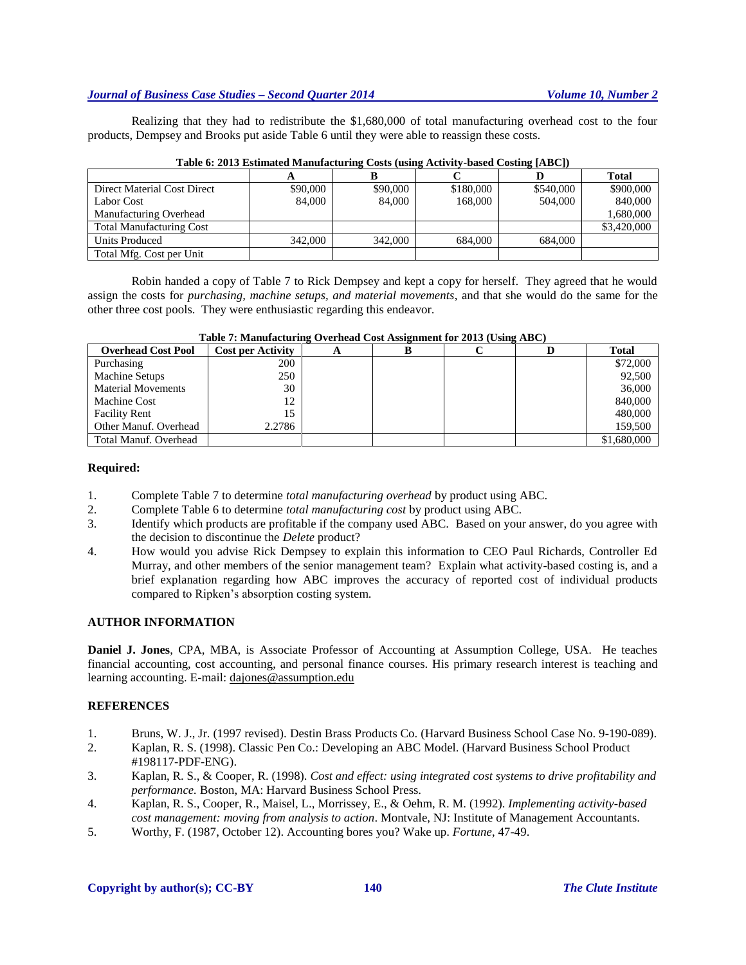Realizing that they had to redistribute the \$1,680,000 of total manufacturing overhead cost to the four products, Dempsey and Brooks put aside Table 6 until they were able to reassign these costs.

|                                 |          |          |           |           | <b>Total</b> |
|---------------------------------|----------|----------|-----------|-----------|--------------|
| Direct Material Cost Direct     | \$90,000 | \$90,000 | \$180,000 | \$540,000 | \$900,000    |
| Labor Cost                      | 84,000   | 84,000   | 168.000   | 504,000   | 840,000      |
| Manufacturing Overhead          |          |          |           |           | 1,680,000    |
| <b>Total Manufacturing Cost</b> |          |          |           |           | \$3,420,000  |
| Units Produced                  | 342,000  | 342,000  | 684,000   | 684,000   |              |
| Total Mfg. Cost per Unit        |          |          |           |           |              |

| Table 6: 2013 Estimated Manufacturing Costs (using Activity-based Costing [ABC]) |  |
|----------------------------------------------------------------------------------|--|
|----------------------------------------------------------------------------------|--|

Robin handed a copy of Table 7 to Rick Dempsey and kept a copy for herself. They agreed that he would assign the costs for *purchasing, machine setups, and material movements*, and that she would do the same for the other three cost pools. They were enthusiastic regarding this endeavor.

| <b>Overhead Cost Pool</b> | <b>Cost per Activity</b> | A |  | Total       |
|---------------------------|--------------------------|---|--|-------------|
| Purchasing                | 200                      |   |  | \$72,000    |
| Machine Setups            | 250                      |   |  | 92,500      |
| <b>Material Movements</b> | 30                       |   |  | 36,000      |
| Machine Cost              | 12                       |   |  | 840,000     |
| <b>Facility Rent</b>      | 15                       |   |  | 480,000     |
| Other Manuf. Overhead     | 2.2786                   |   |  | 159,500     |
| Total Manuf. Overhead     |                          |   |  | \$1,680,000 |

**Table 7: Manufacturing Overhead Cost Assignment for 2013 (Using ABC)**

#### **Required:**

- 1. Complete Table 7 to determine *total manufacturing overhead* by product using ABC.
- 2. Complete Table 6 to determine *total manufacturing cost* by product using ABC.
- 3. Identify which products are profitable if the company used ABC. Based on your answer, do you agree with the decision to discontinue the *Delete* product?
- 4. How would you advise Rick Dempsey to explain this information to CEO Paul Richards, Controller Ed Murray, and other members of the senior management team? Explain what activity-based costing is, and a brief explanation regarding how ABC improves the accuracy of reported cost of individual products compared to Ripken's absorption costing system.

#### **AUTHOR INFORMATION**

**Daniel J. Jones**, CPA, MBA, is Associate Professor of Accounting at Assumption College, USA. He teaches financial accounting, cost accounting, and personal finance courses. His primary research interest is teaching and learning accounting. E-mail[: dajones@assumption.edu](mailto:dajones@assumption.edu)

#### **REFERENCES**

- 1. Bruns, W. J., Jr. (1997 revised). Destin Brass Products Co. (Harvard Business School Case No. 9-190-089).
- 2. Kaplan, R. S. (1998). Classic Pen Co.: Developing an ABC Model. (Harvard Business School Product #198117-PDF-ENG).
- 3. Kaplan, R. S., & Cooper, R. (1998). *Cost and effect: using integrated cost systems to drive profitability and performance.* Boston, MA: Harvard Business School Press.
- 4. Kaplan, R. S., Cooper, R., Maisel, L., Morrissey, E., & Oehm, R. M. (1992). *Implementing activity-based cost management: moving from analysis to action*. Montvale, NJ: Institute of Management Accountants.
- 5. Worthy, F. (1987, October 12). Accounting bores you? Wake up. *Fortune*, 47-49.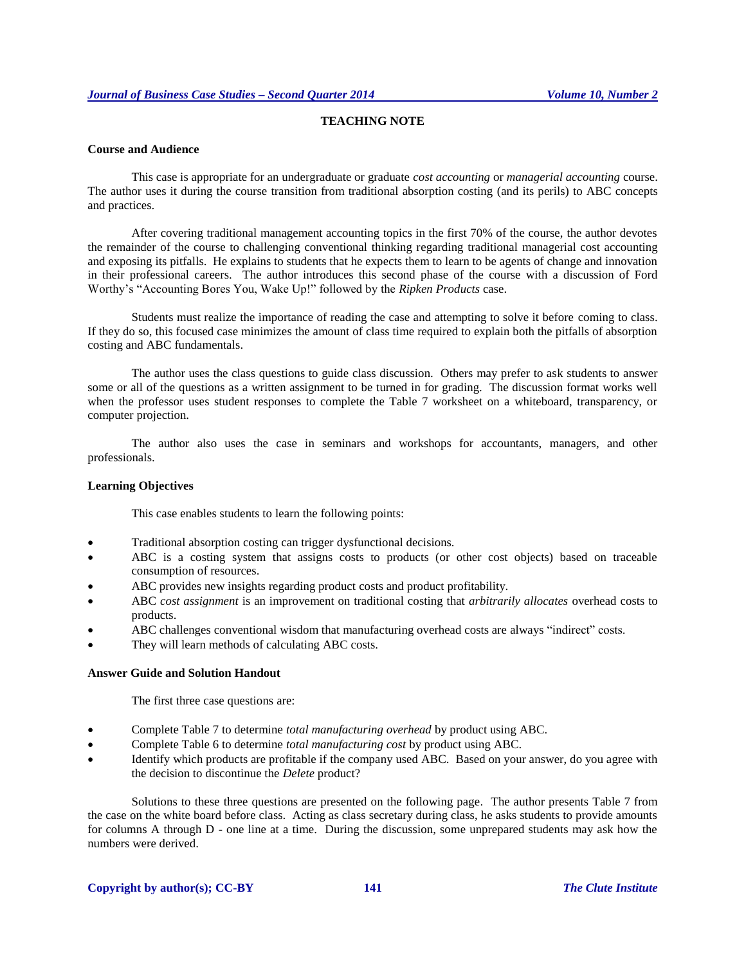#### **TEACHING NOTE**

#### **Course and Audience**

This case is appropriate for an undergraduate or graduate *cost accounting* or *managerial accounting* course. The author uses it during the course transition from traditional absorption costing (and its perils) to ABC concepts and practices.

After covering traditional management accounting topics in the first 70% of the course, the author devotes the remainder of the course to challenging conventional thinking regarding traditional managerial cost accounting and exposing its pitfalls. He explains to students that he expects them to learn to be agents of change and innovation in their professional careers. The author introduces this second phase of the course with a discussion of Ford Worthy's "Accounting Bores You, Wake Up!" followed by the *Ripken Products* case.

Students must realize the importance of reading the case and attempting to solve it before coming to class. If they do so, this focused case minimizes the amount of class time required to explain both the pitfalls of absorption costing and ABC fundamentals.

The author uses the class questions to guide class discussion. Others may prefer to ask students to answer some or all of the questions as a written assignment to be turned in for grading. The discussion format works well when the professor uses student responses to complete the Table 7 worksheet on a whiteboard, transparency, or computer projection.

The author also uses the case in seminars and workshops for accountants, managers, and other professionals.

#### **Learning Objectives**

This case enables students to learn the following points:

- Traditional absorption costing can trigger dysfunctional decisions.
- ABC is a costing system that assigns costs to products (or other cost objects) based on traceable consumption of resources.
- ABC provides new insights regarding product costs and product profitability.
- ABC *cost assignment* is an improvement on traditional costing that *arbitrarily allocates* overhead costs to products.
- ABC challenges conventional wisdom that manufacturing overhead costs are always "indirect" costs.
- They will learn methods of calculating ABC costs.

#### **Answer Guide and Solution Handout**

The first three case questions are:

- Complete Table 7 to determine *total manufacturing overhead* by product using ABC.
- Complete Table 6 to determine *total manufacturing cost* by product using ABC.
- Identify which products are profitable if the company used ABC. Based on your answer, do you agree with the decision to discontinue the *Delete* product?

Solutions to these three questions are presented on the following page. The author presents Table 7 from the case on the white board before class. Acting as class secretary during class, he asks students to provide amounts for columns A through D - one line at a time. During the discussion, some unprepared students may ask how the numbers were derived.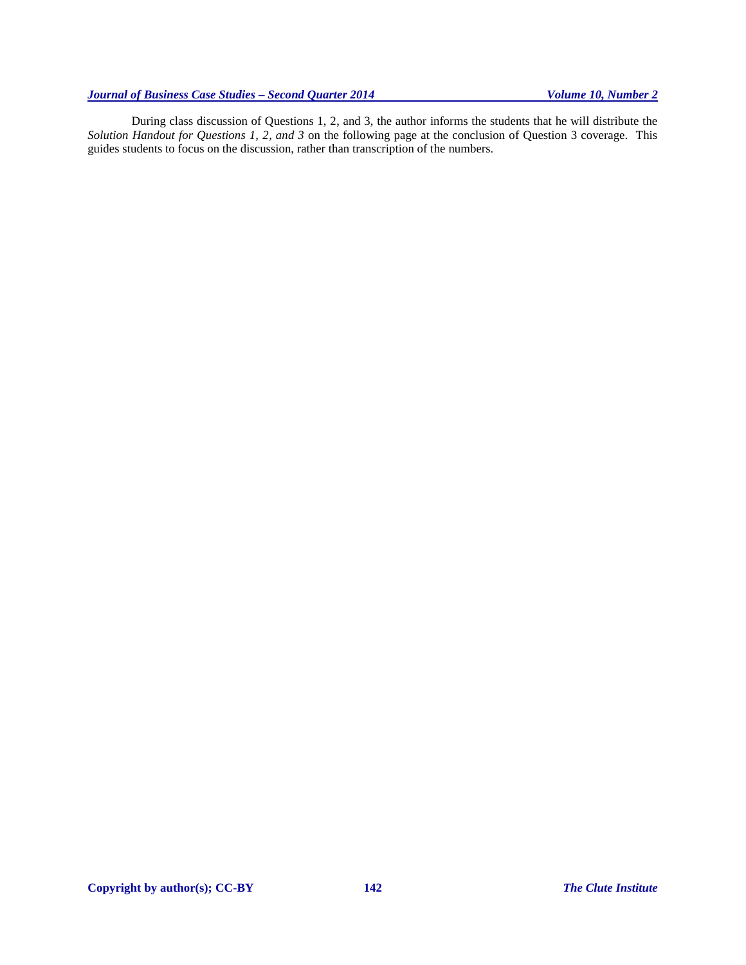During class discussion of Questions 1, 2, and 3, the author informs the students that he will distribute the *Solution Handout for Questions 1, 2, and 3* on the following page at the conclusion of Question 3 coverage. This guides students to focus on the discussion, rather than transcription of the numbers.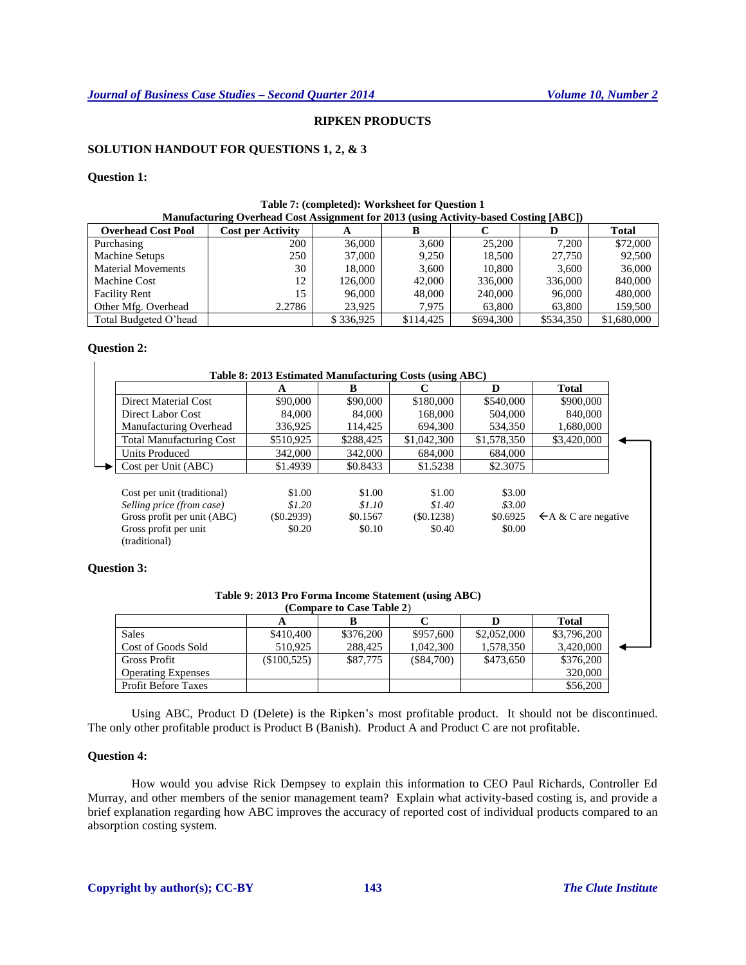#### **RIPKEN PRODUCTS**

#### **SOLUTION HANDOUT FOR QUESTIONS 1, 2, & 3**

#### **Question 1:**

| Manufacturing Overhead Cost Assignment for 2013 (using Activity-based Costing [ABC]) |                          |           |           |           |           |              |  |  |  |
|--------------------------------------------------------------------------------------|--------------------------|-----------|-----------|-----------|-----------|--------------|--|--|--|
| <b>Overhead Cost Pool</b>                                                            | <b>Cost per Activity</b> | A         |           |           |           | <b>Total</b> |  |  |  |
| Purchasing                                                                           | 200                      | 36,000    | 3.600     | 25,200    | 7.200     | \$72,000     |  |  |  |
| Machine Setups                                                                       | 250                      | 37,000    | 9.250     | 18.500    | 27.750    | 92,500       |  |  |  |
| <b>Material Movements</b>                                                            | 30                       | 18.000    | 3.600     | 10,800    | 3.600     | 36,000       |  |  |  |
| Machine Cost                                                                         | 12                       | 126,000   | 42,000    | 336,000   | 336,000   | 840,000      |  |  |  |
| <b>Facility Rent</b>                                                                 | 15                       | 96,000    | 48,000    | 240,000   | 96,000    | 480,000      |  |  |  |
| Other Mfg. Overhead                                                                  | 2.2786                   | 23.925    | 7.975     | 63,800    | 63.800    | 159,500      |  |  |  |
| Total Budgeted O'head                                                                |                          | \$336,925 | \$114,425 | \$694,300 | \$534,350 | \$1,680,000  |  |  |  |

## **Table 7: (completed): Worksheet for Question 1**

#### **Question 2:**

|                                 | A         | B         | C           | D           | Total                           |
|---------------------------------|-----------|-----------|-------------|-------------|---------------------------------|
| Direct Material Cost            | \$90,000  | \$90,000  | \$180,000   | \$540,000   | \$900,000                       |
| Direct Labor Cost               | 84,000    | 84,000    | 168,000     | 504,000     | 840,000                         |
| Manufacturing Overhead          | 336,925   | 114.425   | 694,300     | 534,350     | 1,680,000                       |
| <b>Total Manufacturing Cost</b> | \$510,925 | \$288,425 | \$1,042,300 | \$1,578,350 | \$3,420,000                     |
| <b>Units Produced</b>           | 342,000   | 342,000   | 684,000     | 684,000     |                                 |
| Cost per Unit (ABC)             | \$1.4939  | \$0.8433  | \$1.5238    | \$2.3075    |                                 |
| Cost per unit (traditional)     | \$1.00    | \$1.00    | \$1.00      | \$3.00      |                                 |
| Selling price (from case)       | \$1.20    | \$1.10    | \$1.40      | \$3.00      |                                 |
| Gross profit per unit (ABC)     | (S0.2939) | \$0.1567  | (S0.1238)   | \$0.6925    | $\leftarrow$ A & C are negative |
| Gross profit per unit           | \$0.20    | \$0.10    | \$0.40      | \$0.00      |                                 |
| (traditional)                   |           |           |             |             |                                 |

#### **Question 3:**

| Table 9: 2013 Pro Forma Income Statement (using ABC) |                           |  |  |
|------------------------------------------------------|---------------------------|--|--|
|                                                      | (Compare to Case Table ?) |  |  |

| (Combare to Case Table 2)  |             |           |              |             |              |  |
|----------------------------|-------------|-----------|--------------|-------------|--------------|--|
|                            |             |           |              |             | <b>Total</b> |  |
| <b>Sales</b>               | \$410,400   | \$376,200 | \$957,600    | \$2,052,000 | \$3,796,200  |  |
| Cost of Goods Sold         | 510.925     | 288,425   | 1,042,300    | 1,578,350   | 3,420,000    |  |
| Gross Profit               | (\$100,525) | \$87,775  | $(\$84,700)$ | \$473.650   | \$376,200    |  |
| <b>Operating Expenses</b>  |             |           |              |             | 320,000      |  |
| <b>Profit Before Taxes</b> |             |           |              |             | \$56,200     |  |

Using ABC, Product D (Delete) is the Ripken's most profitable product. It should not be discontinued. The only other profitable product is Product B (Banish). Product A and Product C are not profitable.

#### **Question 4:**

How would you advise Rick Dempsey to explain this information to CEO Paul Richards, Controller Ed Murray, and other members of the senior management team? Explain what activity-based costing is, and provide a brief explanation regarding how ABC improves the accuracy of reported cost of individual products compared to an absorption costing system.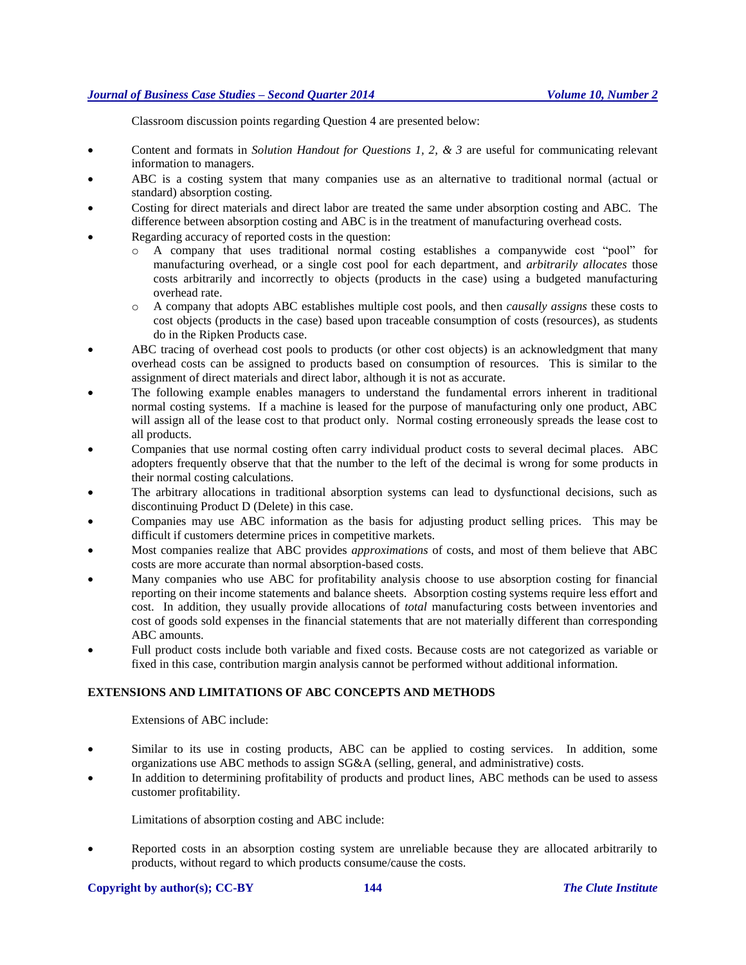Classroom discussion points regarding Question 4 are presented below:

- Content and formats in *Solution Handout for Questions 1, 2, & 3* are useful for communicating relevant information to managers.
- ABC is a costing system that many companies use as an alternative to traditional normal (actual or standard) absorption costing.
- Costing for direct materials and direct labor are treated the same under absorption costing and ABC. The difference between absorption costing and ABC is in the treatment of manufacturing overhead costs.
- Regarding accuracy of reported costs in the question:
	- o A company that uses traditional normal costing establishes a companywide cost "pool" for manufacturing overhead, or a single cost pool for each department, and *arbitrarily allocates* those costs arbitrarily and incorrectly to objects (products in the case) using a budgeted manufacturing overhead rate.
	- o A company that adopts ABC establishes multiple cost pools, and then *causally assigns* these costs to cost objects (products in the case) based upon traceable consumption of costs (resources), as students do in the Ripken Products case.
- ABC tracing of overhead cost pools to products (or other cost objects) is an acknowledgment that many overhead costs can be assigned to products based on consumption of resources. This is similar to the assignment of direct materials and direct labor, although it is not as accurate.
- The following example enables managers to understand the fundamental errors inherent in traditional normal costing systems. If a machine is leased for the purpose of manufacturing only one product, ABC will assign all of the lease cost to that product only. Normal costing erroneously spreads the lease cost to all products.
- Companies that use normal costing often carry individual product costs to several decimal places. ABC adopters frequently observe that that the number to the left of the decimal is wrong for some products in their normal costing calculations.
- The arbitrary allocations in traditional absorption systems can lead to dysfunctional decisions, such as discontinuing Product D (Delete) in this case.
- Companies may use ABC information as the basis for adjusting product selling prices. This may be difficult if customers determine prices in competitive markets.
- Most companies realize that ABC provides *approximations* of costs, and most of them believe that ABC costs are more accurate than normal absorption-based costs.
- Many companies who use ABC for profitability analysis choose to use absorption costing for financial reporting on their income statements and balance sheets. Absorption costing systems require less effort and cost. In addition, they usually provide allocations of *total* manufacturing costs between inventories and cost of goods sold expenses in the financial statements that are not materially different than corresponding ABC amounts.
- Full product costs include both variable and fixed costs. Because costs are not categorized as variable or fixed in this case, contribution margin analysis cannot be performed without additional information.

#### **EXTENSIONS AND LIMITATIONS OF ABC CONCEPTS AND METHODS**

Extensions of ABC include:

- Similar to its use in costing products, ABC can be applied to costing services. In addition, some organizations use ABC methods to assign SG&A (selling, general, and administrative) costs.
- In addition to determining profitability of products and product lines, ABC methods can be used to assess customer profitability.

Limitations of absorption costing and ABC include:

 Reported costs in an absorption costing system are unreliable because they are allocated arbitrarily to products, without regard to which products consume/cause the costs.

#### **Copyright by author(s)[; CC-BY](http://creativecommons.org/licenses/by/3.0/) 144** *[The Clute Institute](http://www.cluteinstitute.com/)*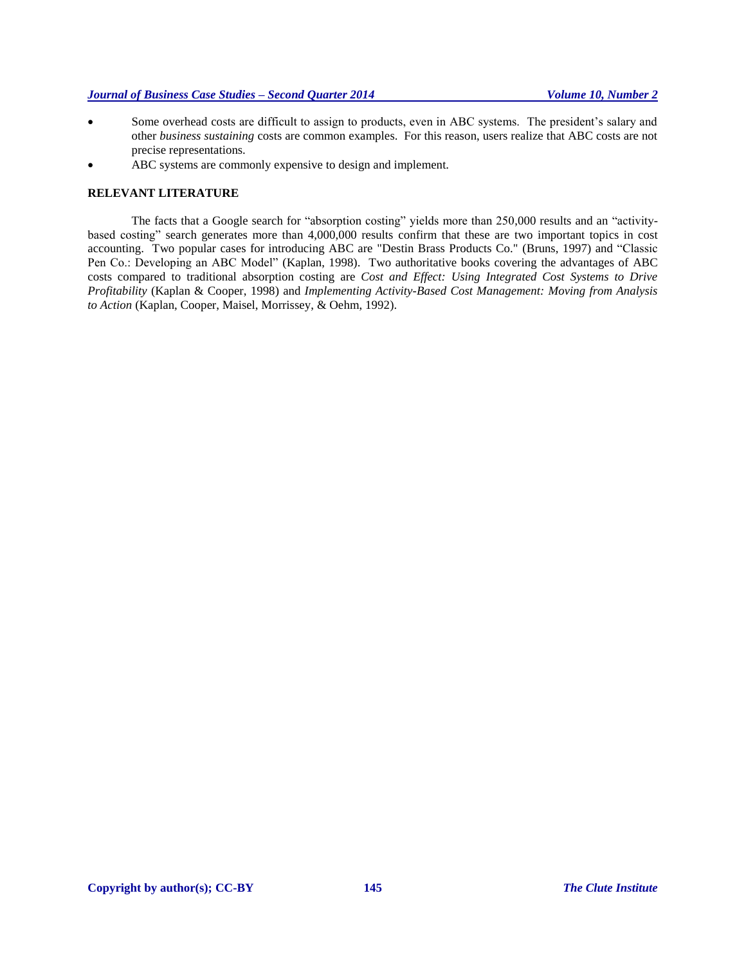- Some overhead costs are difficult to assign to products, even in ABC systems. The president's salary and other *business sustaining* costs are common examples. For this reason, users realize that ABC costs are not precise representations.
- ABC systems are commonly expensive to design and implement.

#### **RELEVANT LITERATURE**

The facts that a Google search for "absorption costing" yields more than 250,000 results and an "activitybased costing" search generates more than 4,000,000 results confirm that these are two important topics in cost accounting. Two popular cases for introducing ABC are "Destin Brass Products Co." (Bruns, 1997) and "Classic Pen Co.: Developing an ABC Model" (Kaplan, 1998). Two authoritative books covering the advantages of ABC costs compared to traditional absorption costing are *Cost and Effect: Using Integrated Cost Systems to Drive Profitability* (Kaplan & Cooper, 1998) and *Implementing Activity-Based Cost Management: Moving from Analysis to Action* (Kaplan, Cooper, Maisel, Morrissey, & Oehm, 1992).